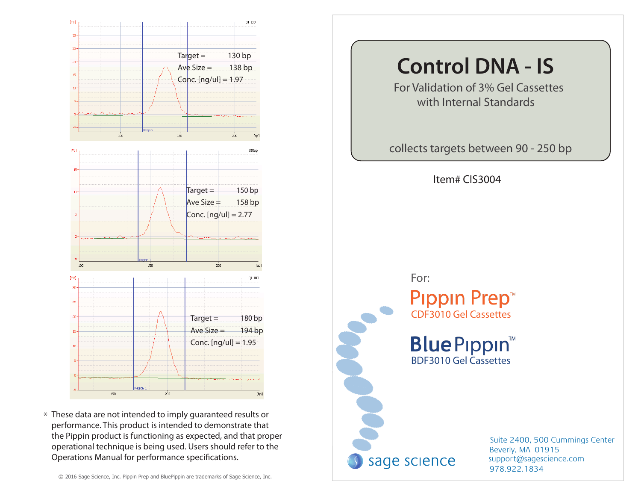

\* These data are not intended to imply guaranteed results or performance. This product is intended to demonstrate that the Pippin product is functioning as expected, and that proper operational technique is being used. Users should refer to the Operations Manual for performance specifications.